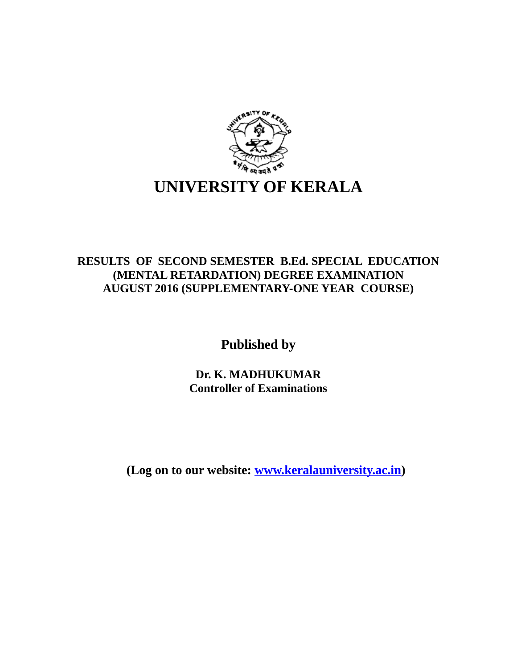

## **RESULTS OF SECOND SEMESTER B.Ed. SPECIAL EDUCATION (MENTAL RETARDATION) DEGREE EXAMINATION AUGUST 2016 (SUPPLEMENTARY-ONE YEAR COURSE)**

**Published by**

**Dr. K. MADHUKUMAR Controller of Examinations**

**(Log on to our website: [www.keralauniversity.ac.in\)](http://www.keralauniversity.ac.in/)**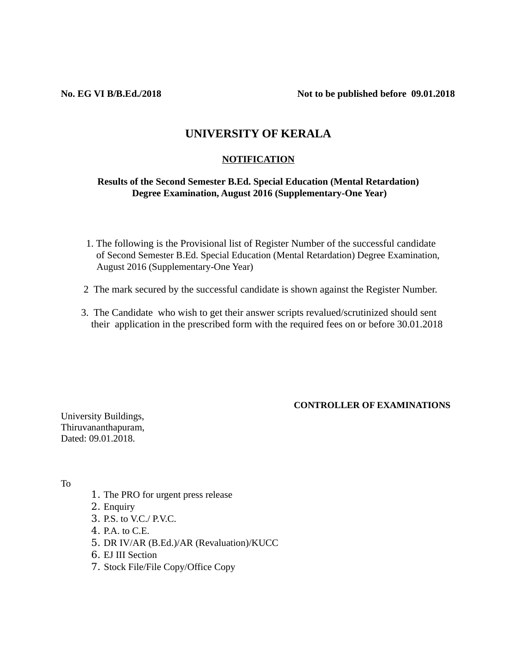**No. EG VI B/B.Ed./2018 Not to be published before 09.01.2018**

### **UNIVERSITY OF KERALA**

#### **NOTIFICATION**

#### **Results of the Second Semester B.Ed. Special Education (Mental Retardation) Degree Examination, August 2016 (Supplementary-One Year)**

- 1. The following is the Provisional list of Register Number of the successful candidate of Second Semester B.Ed. Special Education (Mental Retardation) Degree Examination, August 2016 (Supplementary-One Year)
- 2 The mark secured by the successful candidate is shown against the Register Number.
- 3. The Candidate who wish to get their answer scripts revalued/scrutinized should sent their application in the prescribed form with the required fees on or before 30.01.2018

#### **CONTROLLER OF EXAMINATIONS**

University Buildings, Thiruvananthapuram, Dated: 09.01.2018.

To

- 1. The PRO for urgent press release
- 2. Enquiry
- 3. P.S. to V.C./ P.V.C.
- 4. P.A. to C.E.
- 5. DR IV/AR (B.Ed.)/AR (Revaluation)/KUCC
- 6. EJ III Section
- 7. Stock File/File Copy/Office Copy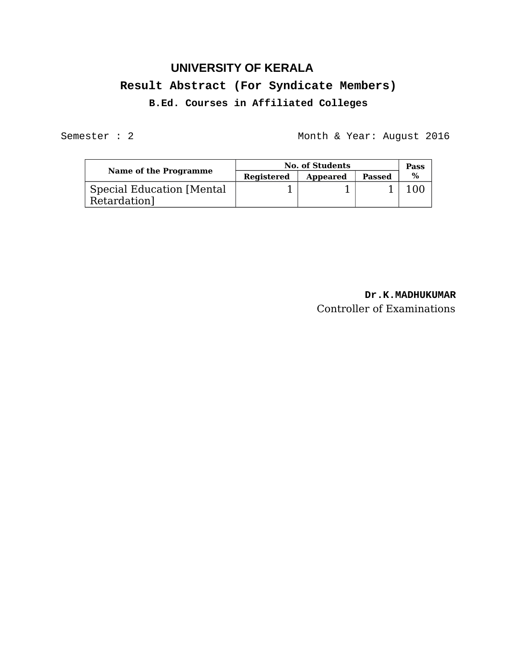# **UNIVERSITY OF KERALA Result Abstract (For Syndicate Members) B.Ed. Courses in Affiliated Colleges**

Semester : 2 Month & Year: August 2016

| Name of the Programme                            | <b>No. of Students</b> |          |        | Pass |
|--------------------------------------------------|------------------------|----------|--------|------|
|                                                  | <b>Registered</b>      | Appeared | Passed | $\%$ |
| <b>Special Education [Mental</b><br>Retardation] |                        |          |        |      |

## **Dr.K.MADHUKUMAR** Controller of Examinations